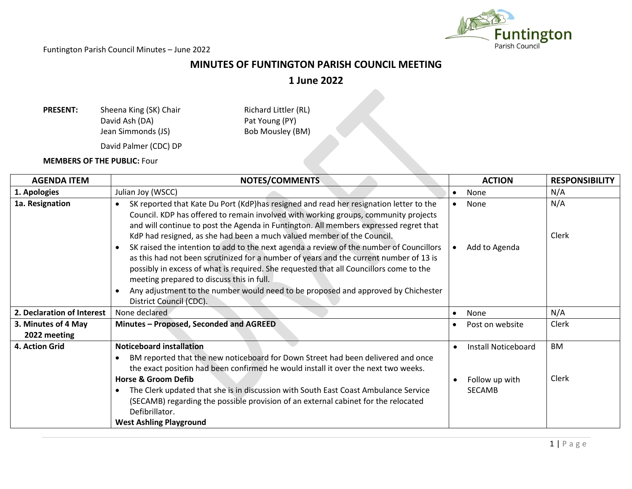

## **MINUTES OF FUNTINGTON PARISH COUNCIL MEETING**

**1 June 2022**

**PRESENT:** Sheena King (SK) Chair Richard Littler (RL)<br>David Ash (DA) Pat Young (PY) Pat Young (PY)<br>Bob Mousley (BM) Jean Simmonds (JS) David Palmer (CDC) DP

**MEMBERS OF THE PUBLIC:** Four

| <b>AGENDA ITEM</b>                  | NOTES/COMMENTS                                                                                                                                                                                                                                                                                                                                                                                                                                                                                                     | <b>ACTION</b>                                                                    | <b>RESPONSIBILITY</b> |
|-------------------------------------|--------------------------------------------------------------------------------------------------------------------------------------------------------------------------------------------------------------------------------------------------------------------------------------------------------------------------------------------------------------------------------------------------------------------------------------------------------------------------------------------------------------------|----------------------------------------------------------------------------------|-----------------------|
| 1. Apologies                        | Julian Joy (WSCC)                                                                                                                                                                                                                                                                                                                                                                                                                                                                                                  | None<br>$\bullet$                                                                | N/A                   |
| 1a. Resignation                     | SK reported that Kate Du Port (KdP)has resigned and read her resignation letter to the<br>$\bullet$<br>Council. KDP has offered to remain involved with working groups, community projects<br>and will continue to post the Agenda in Funtington. All members expressed regret that                                                                                                                                                                                                                                | None                                                                             | N/A                   |
|                                     | KdP had resigned, as she had been a much valued member of the Council.<br>SK raised the intention to add to the next agenda a review of the number of Councillors<br>as this had not been scrutinized for a number of years and the current number of 13 is<br>possibly in excess of what is required. She requested that all Councillors come to the<br>meeting prepared to discuss this in full.<br>Any adjustment to the number would need to be proposed and approved by Chichester<br>District Council (CDC). | Add to Agenda                                                                    | Clerk                 |
| 2. Declaration of Interest          | None declared                                                                                                                                                                                                                                                                                                                                                                                                                                                                                                      | None<br>$\bullet$                                                                | N/A                   |
| 3. Minutes of 4 May<br>2022 meeting | Minutes - Proposed, Seconded and AGREED                                                                                                                                                                                                                                                                                                                                                                                                                                                                            | Post on website<br>$\bullet$                                                     | Clerk                 |
| 4. Action Grid                      | <b>Noticeboard installation</b><br>BM reported that the new noticeboard for Down Street had been delivered and once<br>the exact position had been confirmed he would install it over the next two weeks.<br><b>Horse &amp; Groom Defib</b><br>The Clerk updated that she is in discussion with South East Coast Ambulance Service<br>$\bullet$<br>(SECAMB) regarding the possible provision of an external cabinet for the relocated<br>Defibrillator.<br><b>West Ashling Playground</b>                          | Install Noticeboard<br>$\bullet$<br>Follow up with<br>$\bullet$<br><b>SECAMB</b> | <b>BM</b><br>Clerk    |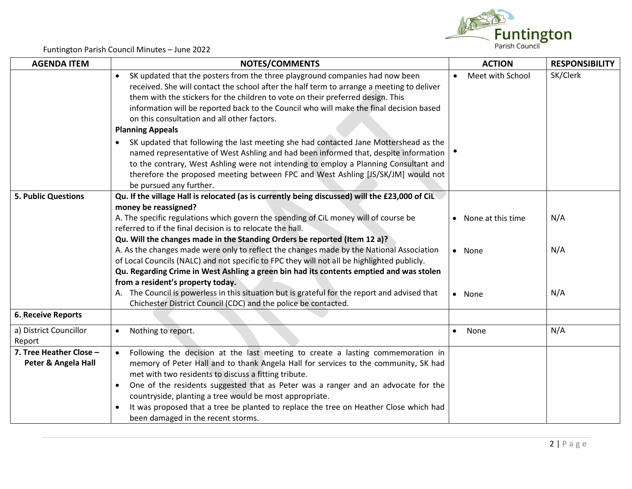

| <b>AGENDA ITEM</b>                             | <b>NOTES/COMMENTS</b>                                                                                                                                                                                                                                                                                                                                                                                                                                                   | <b>ACTION</b>                 | <b>RESPONSIBILITY</b> |
|------------------------------------------------|-------------------------------------------------------------------------------------------------------------------------------------------------------------------------------------------------------------------------------------------------------------------------------------------------------------------------------------------------------------------------------------------------------------------------------------------------------------------------|-------------------------------|-----------------------|
|                                                | SK updated that the posters from the three playground companies had now been<br>$\bullet$<br>received. She will contact the school after the half term to arrange a meeting to deliver<br>them with the stickers for the children to vote on their preferred design. This<br>information will be reported back to the Council who will make the final decision based<br>on this consultation and all other factors.<br><b>Planning Appeals</b>                          | Meet with School<br>$\bullet$ | SK/Clerk              |
|                                                | SK updated that following the last meeting she had contacted Jane Mottershead as the<br>named representative of West Ashling and had been informed that, despite information<br>to the contrary, West Ashling were not intending to employ a Planning Consultant and<br>therefore the proposed meeting between FPC and West Ashling [JS/SK/JM] would not<br>be pursued any further.                                                                                     |                               |                       |
| <b>5. Public Questions</b>                     | Qu. If the village Hall is relocated (as is currently being discussed) will the £23,000 of CiL                                                                                                                                                                                                                                                                                                                                                                          |                               |                       |
|                                                | money be reassigned?<br>A. The specific regulations which govern the spending of CiL money will of course be<br>referred to if the final decision is to relocate the hall.<br>Qu. Will the changes made in the Standing Orders be reported (Item 12 a)?                                                                                                                                                                                                                 | • None at this time           | N/A                   |
|                                                | A. As the changes made were only to reflect the changes made by the National Association<br>of Local Councils (NALC) and not specific to FPC they will not all be highlighted publicly.<br>Qu. Regarding Crime in West Ashling a green bin had its contents emptied and was stolen<br>from a resident's property today.                                                                                                                                                 | • None                        | N/A                   |
|                                                | A. The Council is powerless in this situation but is grateful for the report and advised that<br>Chichester District Council (CDC) and the police be contacted.                                                                                                                                                                                                                                                                                                         | • None                        | N/A                   |
| <b>6. Receive Reports</b>                      |                                                                                                                                                                                                                                                                                                                                                                                                                                                                         |                               |                       |
| a) District Councillor<br>Report               | Nothing to report.                                                                                                                                                                                                                                                                                                                                                                                                                                                      | None<br>$\bullet$             | N/A                   |
| 7. Tree Heather Close -<br>Peter & Angela Hall | Following the decision at the last meeting to create a lasting commemoration in<br>memory of Peter Hall and to thank Angela Hall for services to the community, SK had<br>met with two residents to discuss a fitting tribute.<br>One of the residents suggested that as Peter was a ranger and an advocate for the<br>countryside, planting a tree would be most appropriate.<br>It was proposed that a tree be planted to replace the tree on Heather Close which had |                               |                       |
|                                                | been damaged in the recent storms.                                                                                                                                                                                                                                                                                                                                                                                                                                      |                               |                       |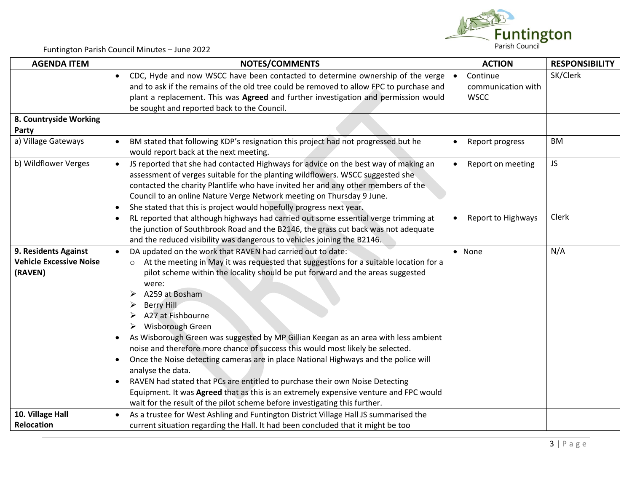

| <b>AGENDA ITEM</b>                                                | NOTES/COMMENTS                                                                                                                                                                                                                                                                                                                                                                                                                                                                                                                                                                                                                                                                                                                                                                                                                                                                                                                    | <b>ACTION</b>                   | <b>RESPONSIBILITY</b> |
|-------------------------------------------------------------------|-----------------------------------------------------------------------------------------------------------------------------------------------------------------------------------------------------------------------------------------------------------------------------------------------------------------------------------------------------------------------------------------------------------------------------------------------------------------------------------------------------------------------------------------------------------------------------------------------------------------------------------------------------------------------------------------------------------------------------------------------------------------------------------------------------------------------------------------------------------------------------------------------------------------------------------|---------------------------------|-----------------------|
|                                                                   | CDC, Hyde and now WSCC have been contacted to determine ownership of the verge<br>and to ask if the remains of the old tree could be removed to allow FPC to purchase and                                                                                                                                                                                                                                                                                                                                                                                                                                                                                                                                                                                                                                                                                                                                                         | Continue<br>communication with  | SK/Clerk              |
|                                                                   | plant a replacement. This was Agreed and further investigation and permission would<br>be sought and reported back to the Council.                                                                                                                                                                                                                                                                                                                                                                                                                                                                                                                                                                                                                                                                                                                                                                                                | <b>WSCC</b>                     |                       |
| 8. Countryside Working<br>Party                                   |                                                                                                                                                                                                                                                                                                                                                                                                                                                                                                                                                                                                                                                                                                                                                                                                                                                                                                                                   |                                 |                       |
| a) Village Gateways                                               | BM stated that following KDP's resignation this project had not progressed but he<br>$\bullet$<br>would report back at the next meeting.                                                                                                                                                                                                                                                                                                                                                                                                                                                                                                                                                                                                                                                                                                                                                                                          | Report progress<br>$\bullet$    | <b>BM</b>             |
| b) Wildflower Verges                                              | JS reported that she had contacted Highways for advice on the best way of making an<br>$\bullet$<br>assessment of verges suitable for the planting wildflowers. WSCC suggested she<br>contacted the charity Plantlife who have invited her and any other members of the<br>Council to an online Nature Verge Network meeting on Thursday 9 June.<br>She stated that this is project would hopefully progress next year.<br>$\bullet$                                                                                                                                                                                                                                                                                                                                                                                                                                                                                              | $\bullet$<br>Report on meeting  | JS                    |
|                                                                   | RL reported that although highways had carried out some essential verge trimming at<br>the junction of Southbrook Road and the B2146, the grass cut back was not adequate<br>and the reduced visibility was dangerous to vehicles joining the B2146.                                                                                                                                                                                                                                                                                                                                                                                                                                                                                                                                                                                                                                                                              | Report to Highways<br>$\bullet$ | Clerk                 |
| 9. Residents Against<br><b>Vehicle Excessive Noise</b><br>(RAVEN) | DA updated on the work that RAVEN had carried out to date:<br>$\bullet$<br>At the meeting in May it was requested that suggestions for a suitable location for a<br>$\circ$<br>pilot scheme within the locality should be put forward and the areas suggested<br>were:<br>A259 at Bosham<br><b>Berry Hill</b><br>A27 at Fishbourne<br>Wisborough Green<br>➤<br>As Wisborough Green was suggested by MP Gillian Keegan as an area with less ambient<br>$\bullet$<br>noise and therefore more chance of success this would most likely be selected.<br>Once the Noise detecting cameras are in place National Highways and the police will<br>$\bullet$<br>analyse the data.<br>RAVEN had stated that PCs are entitled to purchase their own Noise Detecting<br>Equipment. It was Agreed that as this is an extremely expensive venture and FPC would<br>wait for the result of the pilot scheme before investigating this further. | • None                          | N/A                   |
| 10. Village Hall                                                  | As a trustee for West Ashling and Funtington District Village Hall JS summarised the<br>$\bullet$                                                                                                                                                                                                                                                                                                                                                                                                                                                                                                                                                                                                                                                                                                                                                                                                                                 |                                 |                       |
| <b>Relocation</b>                                                 | current situation regarding the Hall. It had been concluded that it might be too                                                                                                                                                                                                                                                                                                                                                                                                                                                                                                                                                                                                                                                                                                                                                                                                                                                  |                                 |                       |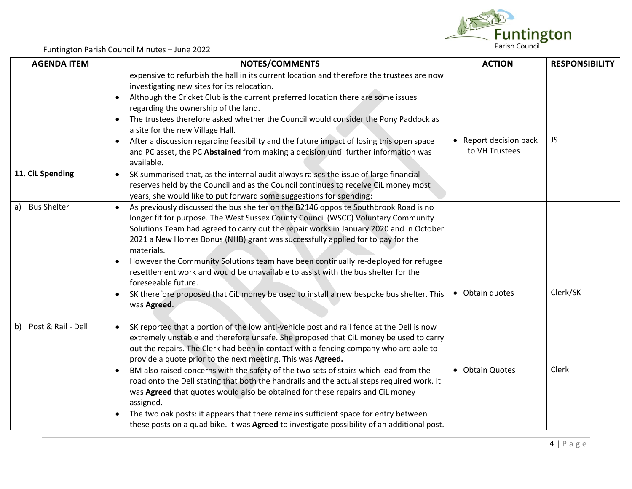

| <b>AGENDA ITEM</b>    | <b>NOTES/COMMENTS</b>                                                                                                                                                                                                                                                                                                                                                                                                                                                                                                                                                                                                                                                                                                                                                                                                             | <b>ACTION</b>                            | <b>RESPONSIBILITY</b> |
|-----------------------|-----------------------------------------------------------------------------------------------------------------------------------------------------------------------------------------------------------------------------------------------------------------------------------------------------------------------------------------------------------------------------------------------------------------------------------------------------------------------------------------------------------------------------------------------------------------------------------------------------------------------------------------------------------------------------------------------------------------------------------------------------------------------------------------------------------------------------------|------------------------------------------|-----------------------|
|                       | expensive to refurbish the hall in its current location and therefore the trustees are now<br>investigating new sites for its relocation.<br>Although the Cricket Club is the current preferred location there are some issues<br>$\bullet$<br>regarding the ownership of the land.<br>The trustees therefore asked whether the Council would consider the Pony Paddock as<br>$\bullet$<br>a site for the new Village Hall.<br>After a discussion regarding feasibility and the future impact of losing this open space<br>$\bullet$<br>and PC asset, the PC Abstained from making a decision until further information was<br>available.                                                                                                                                                                                         | • Report decision back<br>to VH Trustees | JS                    |
| 11. CiL Spending      | SK summarised that, as the internal audit always raises the issue of large financial<br>$\bullet$<br>reserves held by the Council and as the Council continues to receive CiL money most<br>years, she would like to put forward some suggestions for spending:                                                                                                                                                                                                                                                                                                                                                                                                                                                                                                                                                                   |                                          |                       |
| a) Bus Shelter        | As previously discussed the bus shelter on the B2146 opposite Southbrook Road is no<br>$\bullet$<br>longer fit for purpose. The West Sussex County Council (WSCC) Voluntary Community<br>Solutions Team had agreed to carry out the repair works in January 2020 and in October<br>2021 a New Homes Bonus (NHB) grant was successfully applied for to pay for the<br>materials.<br>However the Community Solutions team have been continually re-deployed for refugee<br>resettlement work and would be unavailable to assist with the bus shelter for the<br>foreseeable future.<br>SK therefore proposed that CiL money be used to install a new bespoke bus shelter. This<br>$\bullet$<br>was Agreed.                                                                                                                          | • Obtain quotes                          | Clerk/SK              |
| b) Post & Rail - Dell | SK reported that a portion of the low anti-vehicle post and rail fence at the Dell is now<br>$\bullet$<br>extremely unstable and therefore unsafe. She proposed that CiL money be used to carry<br>out the repairs. The Clerk had been in contact with a fencing company who are able to<br>provide a quote prior to the next meeting. This was Agreed.<br>BM also raised concerns with the safety of the two sets of stairs which lead from the<br>road onto the Dell stating that both the handrails and the actual steps required work. It<br>was Agreed that quotes would also be obtained for these repairs and CiL money<br>assigned.<br>The two oak posts: it appears that there remains sufficient space for entry between<br>these posts on a quad bike. It was Agreed to investigate possibility of an additional post. | • Obtain Quotes                          | Clerk                 |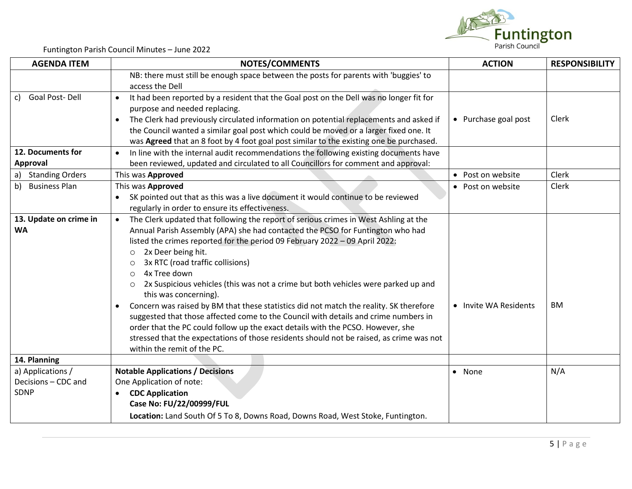

| <b>AGENDA ITEM</b>     | <b>NOTES/COMMENTS</b>                                                                                                                                                                                                                                                                   | <b>ACTION</b>         | <b>RESPONSIBILITY</b> |
|------------------------|-----------------------------------------------------------------------------------------------------------------------------------------------------------------------------------------------------------------------------------------------------------------------------------------|-----------------------|-----------------------|
|                        | NB: there must still be enough space between the posts for parents with 'buggies' to<br>access the Dell                                                                                                                                                                                 |                       |                       |
| c) Goal Post-Dell      | It had been reported by a resident that the Goal post on the Dell was no longer fit for<br>$\bullet$<br>purpose and needed replacing.                                                                                                                                                   |                       |                       |
|                        | The Clerk had previously circulated information on potential replacements and asked if<br>$\bullet$<br>the Council wanted a similar goal post which could be moved or a larger fixed one. It<br>was Agreed that an 8 foot by 4 foot goal post similar to the existing one be purchased. | • Purchase goal post  | Clerk                 |
| 12. Documents for      | In line with the internal audit recommendations the following existing documents have<br>$\bullet$                                                                                                                                                                                      |                       |                       |
| Approval               | been reviewed, updated and circulated to all Councillors for comment and approval:                                                                                                                                                                                                      |                       |                       |
| a) Standing Orders     | This was Approved                                                                                                                                                                                                                                                                       | • Post on website     | Clerk                 |
| b) Business Plan       | This was Approved                                                                                                                                                                                                                                                                       | • Post on website     | Clerk                 |
|                        | SK pointed out that as this was a live document it would continue to be reviewed                                                                                                                                                                                                        |                       |                       |
|                        | regularly in order to ensure its effectiveness.                                                                                                                                                                                                                                         |                       |                       |
| 13. Update on crime in | The Clerk updated that following the report of serious crimes in West Ashling at the<br>$\bullet$                                                                                                                                                                                       |                       |                       |
| <b>WA</b>              | Annual Parish Assembly (APA) she had contacted the PCSO for Funtington who had                                                                                                                                                                                                          |                       |                       |
|                        | listed the crimes reported for the period 09 February 2022 - 09 April 2022:                                                                                                                                                                                                             |                       |                       |
|                        | 2x Deer being hit.<br>$\circ$                                                                                                                                                                                                                                                           |                       |                       |
|                        | 3x RTC (road traffic collisions)<br>$\circ$<br>4x Tree down<br>$\circ$                                                                                                                                                                                                                  |                       |                       |
|                        | 2x Suspicious vehicles (this was not a crime but both vehicles were parked up and<br>$\circ$                                                                                                                                                                                            |                       |                       |
|                        | this was concerning).                                                                                                                                                                                                                                                                   |                       |                       |
|                        | Concern was raised by BM that these statistics did not match the reality. SK therefore                                                                                                                                                                                                  | • Invite WA Residents | BM                    |
|                        | suggested that those affected come to the Council with details and crime numbers in                                                                                                                                                                                                     |                       |                       |
|                        | order that the PC could follow up the exact details with the PCSO. However, she                                                                                                                                                                                                         |                       |                       |
|                        | stressed that the expectations of those residents should not be raised, as crime was not                                                                                                                                                                                                |                       |                       |
|                        | within the remit of the PC.                                                                                                                                                                                                                                                             |                       |                       |
| 14. Planning           |                                                                                                                                                                                                                                                                                         |                       |                       |
| a) Applications /      | <b>Notable Applications / Decisions</b>                                                                                                                                                                                                                                                 | • None                | N/A                   |
| Decisions - CDC and    | One Application of note:                                                                                                                                                                                                                                                                |                       |                       |
| <b>SDNP</b>            | <b>CDC Application</b>                                                                                                                                                                                                                                                                  |                       |                       |
|                        | Case No: FU/22/00999/FUL                                                                                                                                                                                                                                                                |                       |                       |
|                        | Location: Land South Of 5 To 8, Downs Road, Downs Road, West Stoke, Funtington.                                                                                                                                                                                                         |                       |                       |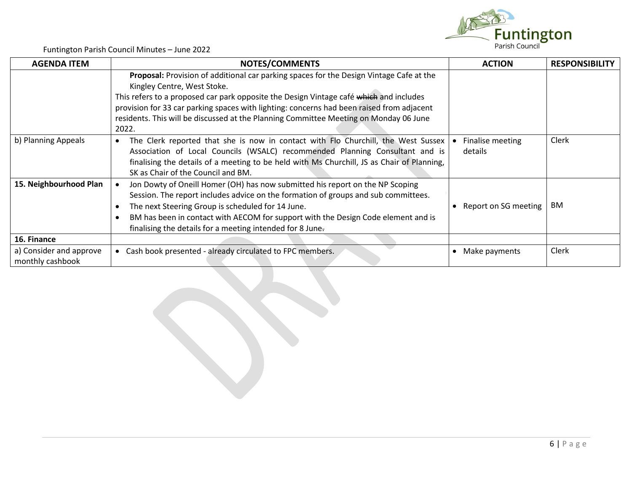

| <b>AGENDA ITEM</b>                          | <b>NOTES/COMMENTS</b>                                                                                                                                                                                                                                                                                                                                                                                           | <b>ACTION</b>               | <b>RESPONSIBILITY</b> |
|---------------------------------------------|-----------------------------------------------------------------------------------------------------------------------------------------------------------------------------------------------------------------------------------------------------------------------------------------------------------------------------------------------------------------------------------------------------------------|-----------------------------|-----------------------|
|                                             | Proposal: Provision of additional car parking spaces for the Design Vintage Cafe at the<br>Kingley Centre, West Stoke.<br>This refers to a proposed car park opposite the Design Vintage café which and includes<br>provision for 33 car parking spaces with lighting: concerns had been raised from adjacent<br>residents. This will be discussed at the Planning Committee Meeting on Monday 06 June<br>2022. |                             |                       |
| b) Planning Appeals                         | The Clerk reported that she is now in contact with Flo Churchill, the West Sussex<br>$\bullet$<br>Association of Local Councils (WSALC) recommended Planning Consultant and is<br>finalising the details of a meeting to be held with Ms Churchill, JS as Chair of Planning,<br>SK as Chair of the Council and BM.                                                                                              | Finalise meeting<br>details | Clerk                 |
| 15. Neighbourhood Plan                      | Jon Dowty of Oneill Homer (OH) has now submitted his report on the NP Scoping<br>Session. The report includes advice on the formation of groups and sub committees.<br>The next Steering Group is scheduled for 14 June.<br>BM has been in contact with AECOM for support with the Design Code element and is<br>finalising the details for a meeting intended for 8 June.                                      | Report on SG meeting        | ΒM                    |
| 16. Finance                                 |                                                                                                                                                                                                                                                                                                                                                                                                                 |                             |                       |
| a) Consider and approve<br>monthly cashbook | Cash book presented - already circulated to FPC members.<br>$\bullet$                                                                                                                                                                                                                                                                                                                                           | Make payments               | Clerk                 |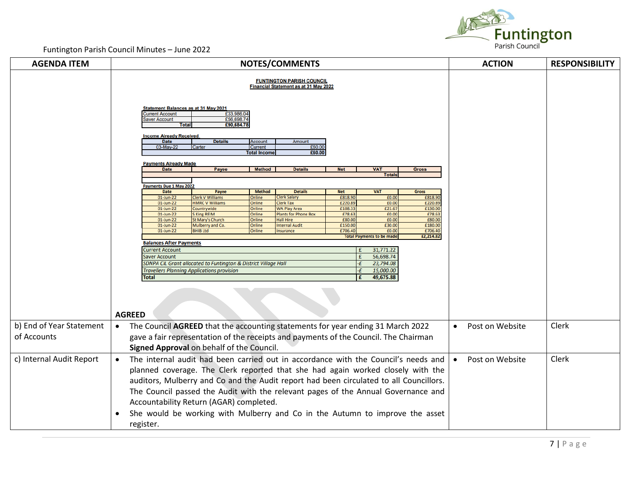

| <b>AGENDA ITEM</b>       | <b>NOTES/COMMENTS</b>                                                                                                           |                                                                       |                                                    |                    |                                  | <b>ACTION</b>      | <b>RESPONSIBILITY</b>        |       |
|--------------------------|---------------------------------------------------------------------------------------------------------------------------------|-----------------------------------------------------------------------|----------------------------------------------------|--------------------|----------------------------------|--------------------|------------------------------|-------|
|                          | <b>FUNTINGTON PARISH COUNCIL</b><br>Financial Statement as at 31 May 2022                                                       |                                                                       |                                                    |                    |                                  |                    |                              |       |
|                          | <b>Statement Balances as at 31 May 2021</b><br><b>Current Account</b><br>£33,986.04<br>£56,698.74<br><b>Saver Account</b>       |                                                                       |                                                    |                    |                                  |                    |                              |       |
|                          | <b>Total</b>                                                                                                                    | £90,684.78                                                            |                                                    |                    |                                  |                    |                              |       |
|                          | <b>Income Already Received</b><br><b>Date</b>                                                                                   | <b>Details</b><br><b>Account</b>                                      | Amount                                             |                    |                                  |                    |                              |       |
|                          | 03-May-22<br>Carter                                                                                                             | <b>Current</b>                                                        | £60.00                                             |                    |                                  |                    |                              |       |
|                          |                                                                                                                                 | <b>Total Income</b>                                                   | £60.00                                             |                    |                                  |                    |                              |       |
|                          | <b>Payments Already Made</b><br><b>Date</b>                                                                                     | <b>Method</b><br>Payee                                                | <b>Details</b>                                     | <b>Net</b>         | <b>VAT</b>                       | <b>Gross</b>       |                              |       |
|                          |                                                                                                                                 |                                                                       |                                                    |                    | <b>Totals</b>                    |                    |                              |       |
|                          | ayments Due 1 May 2022                                                                                                          |                                                                       |                                                    |                    |                                  |                    |                              |       |
|                          | <b>Date</b>                                                                                                                     | Payee<br><b>Method</b>                                                | <b>Details</b><br><b>Clerk Salary</b>              | <b>Net</b>         | <b>VAT</b>                       | <b>Gross</b>       |                              |       |
|                          | $01$ -Jun-22<br>01-Jun-22                                                                                                       | Clerk V Williams<br><b>Online</b><br><b>HMRC V Williams</b><br>Online | <b>Clerk Tax</b>                                   | £818.90<br>£220.89 | £0.00<br>£0.00                   | £818.90<br>£220.89 |                              |       |
|                          | $01$ -Jun-22<br>01-Jun-22                                                                                                       | Countrywide<br>Online<br><b>SKing REIM</b><br>Online                  | <b>WA Play Area</b><br><b>Plants for Phone Box</b> | £108.33<br>£78.63  | £21.67<br>£0.00                  | £130.00<br>£78.63  |                              |       |
|                          | $01$ -Jun-22                                                                                                                    | <b>St Mary's Church</b><br>Online                                     | <b>Hall Hire</b>                                   | £80.00             | £0.00                            | £80.00             |                              |       |
|                          | $01$ -Jun-22<br>$01$ -Jun-22                                                                                                    | Mulberry and Co.<br>Online<br><b>BHIB Ltd</b><br>Online               | <b>Internal Audit</b><br>Insurance                 | £150.00<br>£706.40 | £30.00<br>£0.00                  | £180.00<br>£706.40 |                              |       |
|                          |                                                                                                                                 |                                                                       |                                                    |                    | <b>Total Payments to be made</b> | £2,214.82          |                              |       |
|                          | <b>Balances After Payments</b>                                                                                                  |                                                                       |                                                    |                    |                                  |                    |                              |       |
|                          | 31,771.22<br><b>Current Account</b><br>£<br>56,698.74<br><b>Saver Account</b>                                                   |                                                                       |                                                    |                    |                                  |                    |                              |       |
|                          | SDNPA CIL Grant allocated to Funtington & District Village Hall<br>23,794.08<br>٠£                                              |                                                                       |                                                    |                    |                                  |                    |                              |       |
|                          | 15,000.00<br><b>Travellers Planning Applications provision</b><br>-£                                                            |                                                                       |                                                    |                    |                                  |                    |                              |       |
|                          | 49,675.88<br><b>Total</b><br>£                                                                                                  |                                                                       |                                                    |                    |                                  |                    |                              |       |
|                          |                                                                                                                                 |                                                                       |                                                    |                    |                                  |                    |                              |       |
|                          |                                                                                                                                 |                                                                       |                                                    |                    |                                  |                    |                              |       |
|                          |                                                                                                                                 |                                                                       |                                                    |                    |                                  |                    |                              |       |
|                          | <b>AGREED</b>                                                                                                                   |                                                                       |                                                    |                    |                                  |                    |                              |       |
| b) End of Year Statement | The Council AGREED that the accounting statements for year ending 31 March 2022<br>$\bullet$                                    |                                                                       |                                                    |                    |                                  |                    | Post on Website<br>$\bullet$ | Clerk |
| of Accounts              | gave a fair representation of the receipts and payments of the Council. The Chairman                                            |                                                                       |                                                    |                    |                                  |                    |                              |       |
|                          |                                                                                                                                 |                                                                       |                                                    |                    |                                  |                    |                              |       |
|                          | Signed Approval on behalf of the Council.<br>The internal audit had been carried out in accordance with the Council's needs and |                                                                       |                                                    |                    |                                  |                    |                              |       |
| c) Internal Audit Report |                                                                                                                                 |                                                                       |                                                    |                    |                                  |                    | Post on Website              | Clerk |
|                          | planned coverage. The Clerk reported that she had again worked closely with the                                                 |                                                                       |                                                    |                    |                                  |                    |                              |       |
|                          | auditors, Mulberry and Co and the Audit report had been circulated to all Councillors.                                          |                                                                       |                                                    |                    |                                  |                    |                              |       |
|                          | The Council passed the Audit with the relevant pages of the Annual Governance and                                               |                                                                       |                                                    |                    |                                  |                    |                              |       |
|                          | Accountability Return (AGAR) completed.                                                                                         |                                                                       |                                                    |                    |                                  |                    |                              |       |
|                          |                                                                                                                                 |                                                                       |                                                    |                    |                                  |                    |                              |       |
|                          | She would be working with Mulberry and Co in the Autumn to improve the asset<br>$\bullet$                                       |                                                                       |                                                    |                    |                                  |                    |                              |       |
|                          | register.                                                                                                                       |                                                                       |                                                    |                    |                                  |                    |                              |       |